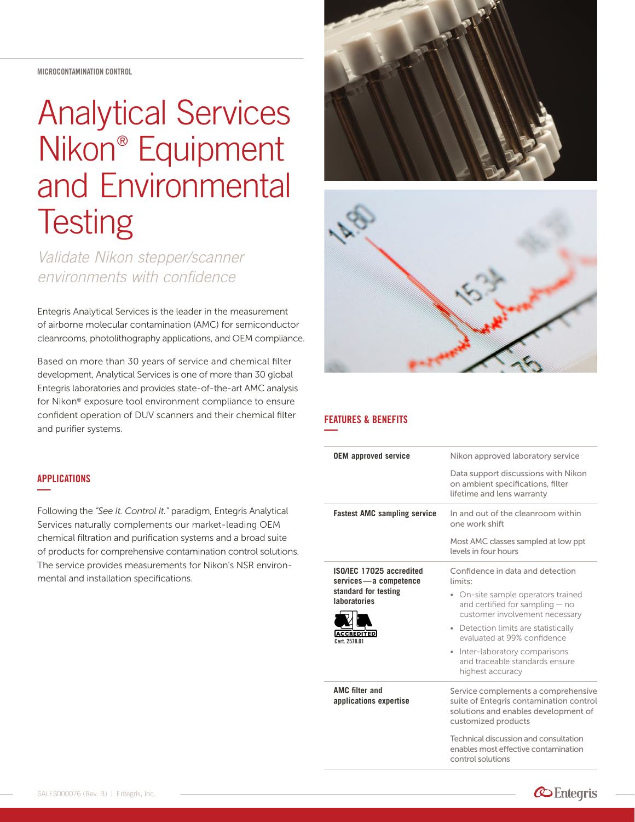MICROCONTAMINATION CONTROL

# Analytical Services Nikon® Equipment and Environmental **Testing**

*Validate Nikon stepper/scanner environments with confidence*

Entegris Analytical Services is the leader in the measurement of airborne molecular contamination (AMC) for semiconductor cleanrooms, photolithography applications, and OEM compliance.

Based on more than 30 years of service and chemical filter development, Analytical Services is one of more than 30 global Entegris laboratories and provides state-of-the-art AMC analysis for Nikon® exposure tool environment compliance to ensure confident operation of DUV scanners and their chemical filter and purifier systems.

### APPLICATIONS **—**

Following the *"See It. Control It."* paradigm, Entegris Analytical Services naturally complements our market-leading OEM chemical filtration and purification systems and a broad suite of products for comprehensive contamination control solutions. The service provides measurements for Nikon's NSR environmental and installation specifications.





## FEATURES & BENEFITS **—**

| <b>OEM</b> approved service                                                                                                            | Nikon approved laboratory service<br>Data support discussions with Nikon<br>on ambient specifications, filter<br>lifetime and lens warranty                                                                                                                                                                              |
|----------------------------------------------------------------------------------------------------------------------------------------|--------------------------------------------------------------------------------------------------------------------------------------------------------------------------------------------------------------------------------------------------------------------------------------------------------------------------|
| <b>Fastest AMC sampling service</b>                                                                                                    | In and out of the cleanroom within<br>one work shift<br>Most AMC classes sampled at low ppt<br>levels in four hours                                                                                                                                                                                                      |
| ISO/IEC 17025 accredited<br>services - a competence<br>standard for testing<br><b>laboratories</b><br><b>CCREDITED</b><br>Cert 2578 01 | Confidence in data and detection<br>limits:<br>• On-site sample operators trained<br>and certified for sampling - no<br>customer involvement necessary<br>• Detection limits are statistically<br>evaluated at 99% confidence<br>Inter-laboratory comparisons<br>۰<br>and traceable standards ensure<br>highest accuracy |
| <b>AMC filter and</b><br>applications expertise                                                                                        | Service complements a comprehensive<br>suite of Entegris contamination control<br>solutions and enables development of<br>customized products<br>Technical discussion and consultation<br>enables most effective contamination<br>control solutions                                                                      |

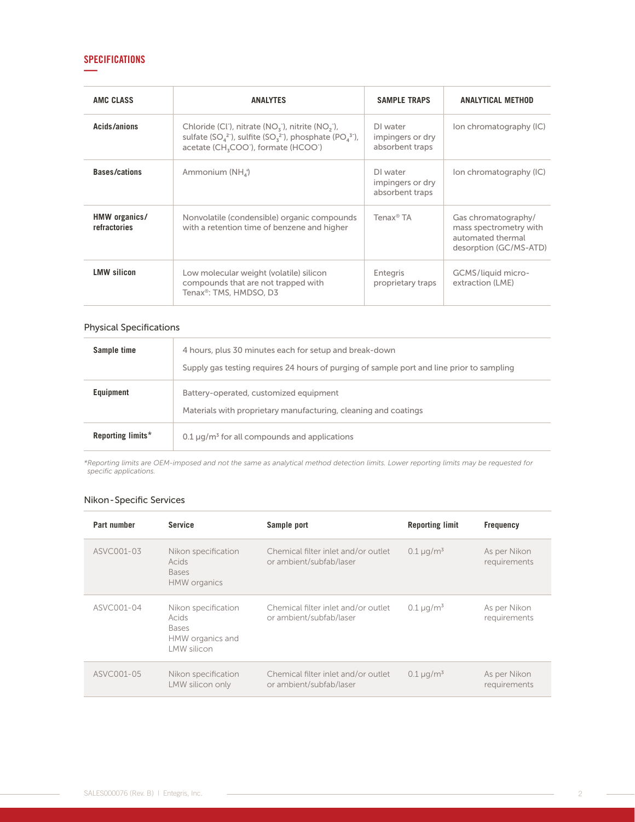# **SPECIFICATIONS —**

| AMC CLASS                     | <b>ANALYTES</b>                                                                                                                                                                                                                                                    | <b>SAMPLE TRAPS</b>                                                        | <b>ANALYTICAL METHOD</b>                                                                     |
|-------------------------------|--------------------------------------------------------------------------------------------------------------------------------------------------------------------------------------------------------------------------------------------------------------------|----------------------------------------------------------------------------|----------------------------------------------------------------------------------------------|
| Acids/anions                  | Chloride (CI), nitrate $(NOx)$ , nitrite $(NOx)$ ,<br>sulfate (SO <sub>4</sub> <sup>2-</sup> ), sulfite (SO <sub>3</sub> <sup>2-</sup> ), phosphate (PO <sub>4</sub> <sup>3-</sup> ),<br>acetate (CH <sub>3</sub> COO <sup>-</sup> ), formate (HCOO <sup>-</sup> ) | DI water<br>Ion chromatography (IC)<br>impingers or dry<br>absorbent traps |                                                                                              |
| <b>Bases/cations</b>          | Ammonium (NH <sub>4</sub> )                                                                                                                                                                                                                                        | DI water<br>impingers or dry<br>absorbent traps                            | Ion chromatography (IC)                                                                      |
| HMW organics/<br>refractories | Nonvolatile (condensible) organic compounds<br>with a retention time of benzene and higher                                                                                                                                                                         | Tenax <sup>®</sup> TA                                                      | Gas chromatography/<br>mass spectrometry with<br>automated thermal<br>desorption (GC/MS-ATD) |
| <b>LMW silicon</b>            | Low molecular weight (volatile) silicon<br>compounds that are not trapped with<br>Tenax®: TMS, HMDSO, D3                                                                                                                                                           | Entegris<br>proprietary traps                                              | GCMS/liquid micro-<br>extraction (LME)                                                       |

# Physical Specifications

| Sample time       | 4 hours, plus 30 minutes each for setup and break-down<br>Supply gas testing requires 24 hours of purging of sample port and line prior to sampling |
|-------------------|-----------------------------------------------------------------------------------------------------------------------------------------------------|
| <b>Equipment</b>  | Battery-operated, customized equipment<br>Materials with proprietary manufacturing, cleaning and coatings                                           |
| Reporting limits* | $0.1 \,\mathrm{\upmu g/m^3}$ for all compounds and applications                                                                                     |

*\*Reporting limits are OEM-imposed and not the same as analytical method detection limits. Lower reporting limits may be requested for specific applications.*

#### Nikon - Specific Services

| Part number | <b>Service</b>                                                                  | Sample port                                                    | <b>Reporting limit</b> | <b>Frequency</b>             |
|-------------|---------------------------------------------------------------------------------|----------------------------------------------------------------|------------------------|------------------------------|
| ASVC001-03  | Nikon specification<br>Acids<br><b>Bases</b><br><b>HMW</b> organics             | Chemical filter inlet and/or outlet<br>or ambient/subfab/laser | $0.1 \mu q/m^3$        | As per Nikon<br>requirements |
| ASVC001-04  | Nikon specification<br>Acids<br><b>Bases</b><br>HMW organics and<br>LMW silicon | Chemical filter inlet and/or outlet<br>or ambient/subfab/laser | $0.1 \mu q/m^3$        | As per Nikon<br>requirements |
| ASVC001-05  | Nikon specification<br>LMW silicon only                                         | Chemical filter inlet and/or outlet<br>or ambient/subfab/laser | $0.1 \,\mu g/m^3$      | As per Nikon<br>requirements |